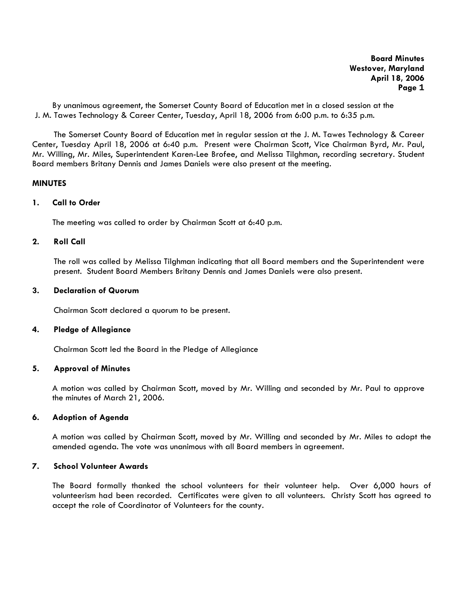By unanimous agreement, the Somerset County Board of Education met in a closed session at the J. M. Tawes Technology & Career Center, Tuesday, April 18, 2006 from 6:00 p.m. to 6:35 p.m.

The Somerset County Board of Education met in regular session at the J. M. Tawes Technology & Career Center, Tuesday April 18, 2006 at 6:40 p.m. Present were Chairman Scott, Vice Chairman Byrd, Mr. Paul, Mr. Willing, Mr. Miles, Superintendent Karen-Lee Brofee, and Melissa Tilghman, recording secretary. Student Board members Britany Dennis and James Daniels were also present at the meeting.

# **MINUTES**

# **1. Call to Order**

The meeting was called to order by Chairman Scott at 6:40 p.m.

# **2. Roll Call**

The roll was called by Melissa Tilghman indicating that all Board members and the Superintendent were present. Student Board Members Britany Dennis and James Daniels were also present.

### **3. Declaration of Quorum**

Chairman Scott declared a quorum to be present.

### **4. Pledge of Allegiance**

Chairman Scott led the Board in the Pledge of Allegiance

## **5. Approval of Minutes**

 A motion was called by Chairman Scott, moved by Mr. Willing and seconded by Mr. Paul to approve the minutes of March 21, 2006.

### **6. Adoption of Agenda**

A motion was called by Chairman Scott, moved by Mr. Willing and seconded by Mr. Miles to adopt the amended agenda. The vote was unanimous with all Board members in agreement.

# **7. School Volunteer Awards**

The Board formally thanked the school volunteers for their volunteer help. Over 6,000 hours of volunteerism had been recorded. Certificates were given to all volunteers. Christy Scott has agreed to accept the role of Coordinator of Volunteers for the county.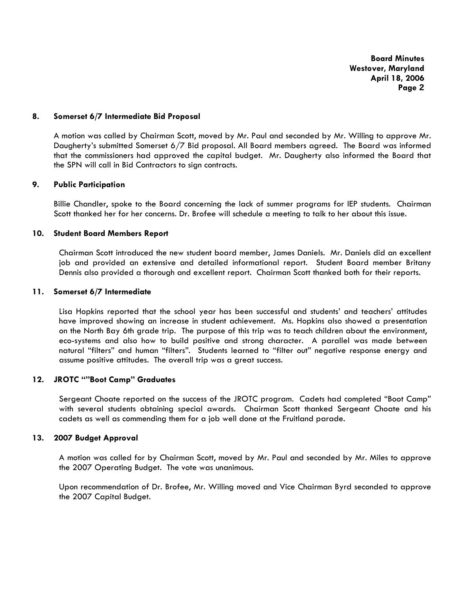### **8. Somerset 6/7 Intermediate Bid Proposal**

A motion was called by Chairman Scott, moved by Mr. Paul and seconded by Mr. Willing to approve Mr. Daugherty's submitted Somerset 6/7 Bid proposal. All Board members agreed. The Board was informed that the commissioners had approved the capital budget. Mr. Daugherty also informed the Board that the SPN will call in Bid Contractors to sign contracts.

# **9. Public Participation**

Billie Chandler, spoke to the Board concerning the lack of summer programs for IEP students. Chairman Scott thanked her for her concerns. Dr. Brofee will schedule a meeting to talk to her about this issue.

# **10. Student Board Members Report**

Chairman Scott introduced the new student board member, James Daniels. Mr. Daniels did an excellent job and provided an extensive and detailed informational report. Student Board member Britany Dennis also provided a thorough and excellent report. Chairman Scott thanked both for their reports.

### **11. Somerset 6/7 Intermediate**

Lisa Hopkins reported that the school year has been successful and students' and teachers' attitudes have improved showing an increase in student achievement. Ms. Hopkins also showed a presentation on the North Bay 6th grade trip. The purpose of this trip was to teach children about the environment, eco-systems and also how to build positive and strong character. A parallel was made between natural "filters" and human "filters". Students learned to "filter out" negative response energy and assume positive attitudes. The overall trip was a great success.

## **12. JROTC ""Boot Camp" Graduates**

Sergeant Choate reported on the success of the JROTC program. Cadets had completed "Boot Camp" with several students obtaining special awards. Chairman Scott thanked Sergeant Choate and his cadets as well as commending them for a job well done at the Fruitland parade.

### **13. 2007 Budget Approval**

A motion was called for by Chairman Scott, moved by Mr. Paul and seconded by Mr. Miles to approve the 2007 Operating Budget. The vote was unanimous.

Upon recommendation of Dr. Brofee, Mr. Willing moved and Vice Chairman Byrd seconded to approve the 2007 Capital Budget.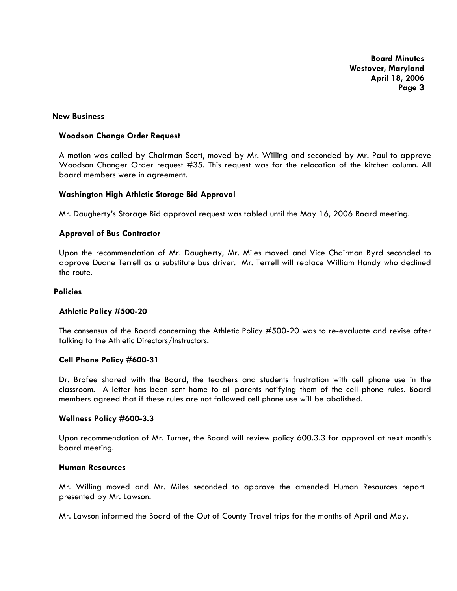#### **New Business**

### **Woodson Change Order Request**

A motion was called by Chairman Scott, moved by Mr. Willing and seconded by Mr. Paul to approve Woodson Changer Order request #35. This request was for the relocation of the kitchen column. All board members were in agreement.

#### **Washington High Athletic Storage Bid Approval**

Mr. Daugherty's Storage Bid approval request was tabled until the May 16, 2006 Board meeting.

### **Approval of Bus Contractor**

Upon the recommendation of Mr. Daugherty, Mr. Miles moved and Vice Chairman Byrd seconded to approve Duane Terrell as a substitute bus driver. Mr. Terrell will replace William Handy who declined the route.

### **Policies**

#### **Athletic Policy #500-20**

The consensus of the Board concerning the Athletic Policy #500-20 was to re-evaluate and revise after talking to the Athletic Directors/Instructors.

#### **Cell Phone Policy #600-31**

Dr. Brofee shared with the Board, the teachers and students frustration with cell phone use in the classroom. A letter has been sent home to all parents notifying them of the cell phone rules. Board members agreed that if these rules are not followed cell phone use will be abolished.

#### **Wellness Policy #600-3.3**

Upon recommendation of Mr. Turner, the Board will review policy 600.3.3 for approval at next month's board meeting.

# **Human Resources**

Mr. Willing moved and Mr. Miles seconded to approve the amended Human Resources report presented by Mr. Lawson.

Mr. Lawson informed the Board of the Out of County Travel trips for the months of April and May.